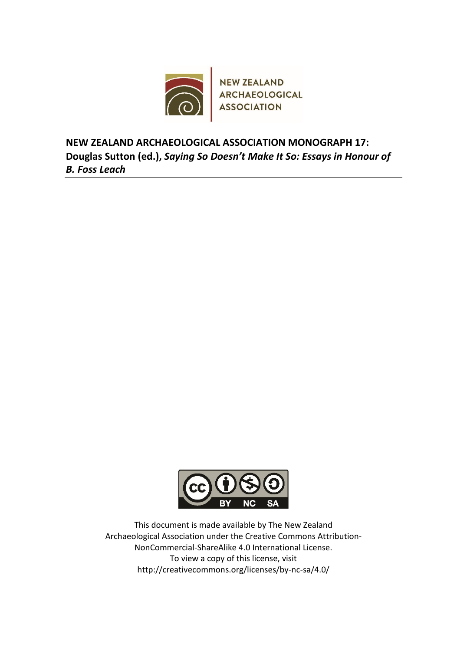

**NEW ZEALAND ARCHAEOLOGICAL ASSOCIATION MONOGRAPH 17: Douglas Sutton (ed.),** *Saying So Doesn't Make It So: Essays in Honour of B. Foss Leach*



This document is made available by The New Zealand Archaeological Association under the Creative Commons Attribution-NonCommercial-ShareAlike 4.0 International License. To view a copy of this license, visit http://creativecommons.org/licenses/by-nc-sa/4.0/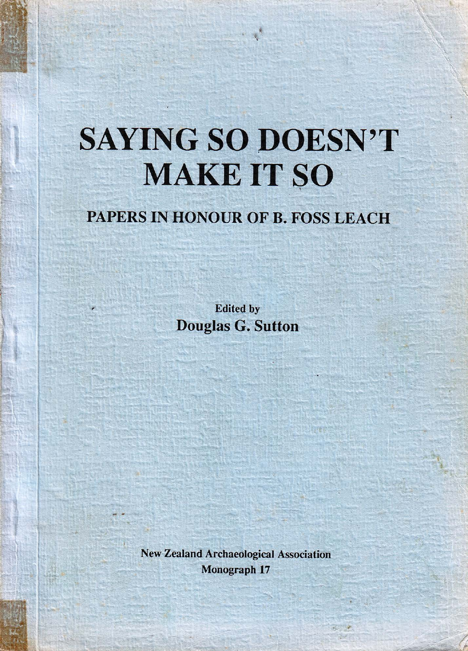# **SAYING SO DOESN'T MAKE IT SO**

# PAPERS IN HONOUR OF B. FOSS LEACH

**Edited by Douglas G. Sutton** 

**New Zealand Archaeological Association** Monograph 17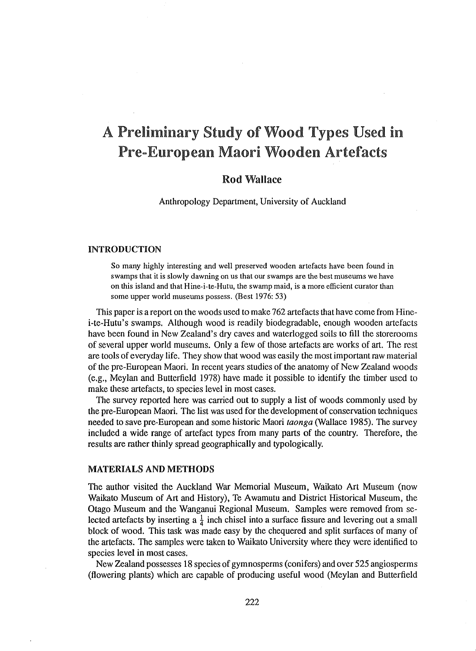# A Preliminary Study of Wood Types Used in Pre-European Maori Wooden Artefacts

# Rod Wallace

Anthropology Department, University of Auckland

# **INTRODUCTION**

*So* many highly interesting and well preserved wooden artefacts have been found in swamps that it is slowly dawning on us that our swamps are the best museums we have on this island and that Hine-i-te-Hutu, the swamp maid, is a more efficient curator than some upper world museums possess. (Best 1976: 53)

This paper is a report on the woods used to make 762 artefacts that have come from Hinei-te-Hutu 's swamps. Although wood is readily biodegradable, enough wooden artefacts have been found in New Zealand's dry caves and waterlogged soils to fill the storerooms of several upper world museums. Only a few of those artefacts are works of art. The rest are tools of everyday life. They show that wood was easily the most important raw material of the pre-European Maori. In recent years studies of the anatomy of New Zealand woods (e.g., Meylan and Butterfield 1978) have made it possible to identify the timber used to make these artefacts, to species level in most cases.

The survey reported here was carried out to supply a list of woods commonly used by the pre-European Maori. The list was used for the development of conservation techniques needed to save pre-European and some historic Maori *taonga* (Wallace 1985). The survey included a wide range of artefact types from many parts of the country. Therefore, the results are rather thinly spread geographically and typologically.

# **MATERIALS AND METHODS**

The author visited the Auckland War Memorial Museum, Waikato Art Museum (now Waikato Museum of Art and History), Te Awamutu and District Historical Museum, the Otago Museum and the Wanganui Regional Museum. Samples were removed from selected artefacts by inserting a  $\frac{1}{4}$  inch chisel into a surface fissure and levering out a small block of wood. This task was made easy by the chequered and split surfaces of many of the artefacts. The samples were taken to Waikato University where they were identified to species level in most cases.

New Zealand possesses 18 species of gymnosperms (conifers) and over 525 angiosperms (flowering plants) which are capable of producing useful wood (Meylan and Butterfield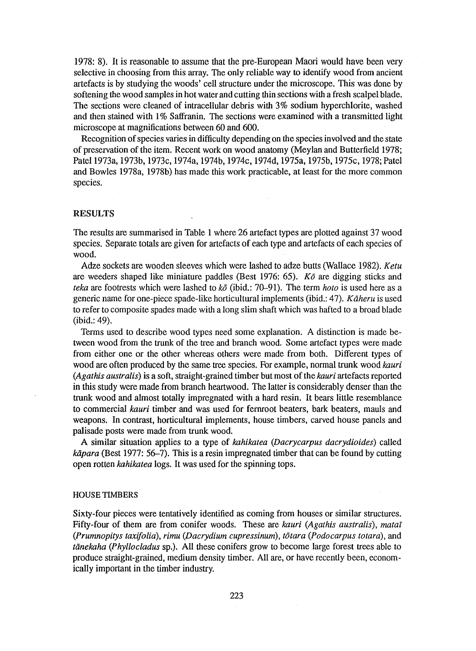1978: 8). It is reasonable to assume that the pre-European Maori would have been very selective in choosing from this array. The only reliable way to identify wood from ancient artefacts is by studying the woods' cell structure under the microscope. This was done by softening the wood samples in hot water and cutting thin sections with a fresh scalpel blade. The sections were cleaned of intracellular debris with 3% sodium hyperchlorite, washed and then stained with 1% Saffranin. The sections were examined with a transmitted light microscope at magnifications between 60 and 600.

Recognition of species varies in difficulty depending on the species involved and the state of preservation of the item. Recent work on wood anatomy (Meylan and Butterfield 1978; Patel 1973a, 1973b, 1973c, 1974a, 1974b, 1974c, 1974d, 1975a, 1975b, 1975c, 1978; Patel and Bowles 1978a, 1978b) has made this work practicable, at least for the more common species.

# **RESULTS**

The results are summarised in Table **1** where 26 artefact types are plotted against 37 wood species. Separate totals are given for artefacts of each type and artefacts of each species of wood.

Adze sockets are wooden sleeves which were lashed to adze butts (Wallace 1982). *Ketu*  are weeders shaped like miniature paddles (Best 1976: 65). *Ko* are digging sticks and *teka* are footrests which were lashed to *k6* (ibid.: 70-91). The term *hoto* is used here as a generic name for one-piece spade-like horticultural implements (ibid.: 47). *Kaheru* is used to refer to composite spades made with a long slim shaft which was hafted to a broad blade (ibid.: 49).

Terms used to describe wood types need some explanation. A distinction is made between wood from the trunk of the tree and branch wood. Some artefact types were made from either one or the other whereas others were made from both. Different types of wood are often produced by the same tree species. For example, normal trunk wood *kauri (Ag at his australis)* is a soft, straight-grained timber but most of the *kauri* artefacts reported in this study were made from branch heartwood. The latter is considerably denser than the trunk wood and almost totally impregnated with a hard resin. It bears little resemblance to commercial *kauri* timber and was used for fernroot beaters, bark beaters, mauls and weapons. In contrast, horticultural implements, house timbers, carved house panels and palisade posts were made from trunk wood.

A similar situation applies to a type of *kahikatea (Dacrycarpus dacrydioides)* called *kapara* (Best 1977: 56-7). This is a resin impregnated timber that can be found by cutting open rotten *kahikatea* logs. It was used for the spinning tops.

# HOUSE TIMBERS

Sixty-four pieces were tentatively identified as coming from houses or similar structures. Fifty-four of them are from conifer woods. These are *kauri (Agathis australis), matal (Prumnopitys taxifo/ia), rimu (Dacrydium cupressimtm), totara (Podocarpus totara),* and *tanekaha (Phyl/oc/adus* sp.). All these conifers grow to become large forest trees able to produce straight-grained, medium density timber. All are, or have recently been, economically important in the timber industry.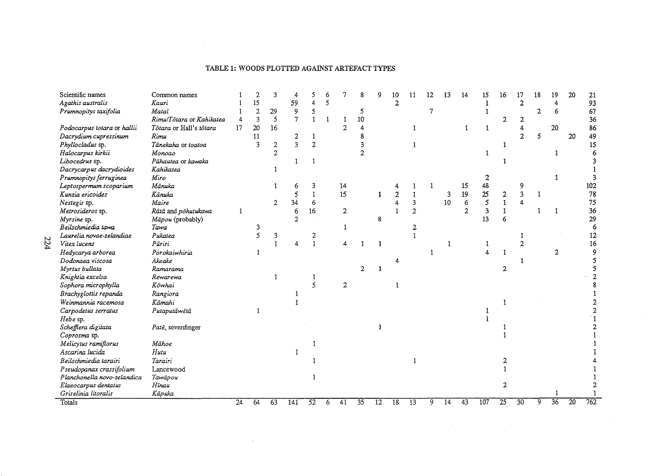# TABLE 1: WOODS PLOTTED AGAINST ARTEFACT TYPES

| Scientific names            | Common names             |                 | 2              | 3              |                |                 |   |                | 8  | 9               | 10              | 11              | 12     | 13 | 14             | 15  | 16              | 17                      | 18           | 19              | 20 | 21  |
|-----------------------------|--------------------------|-----------------|----------------|----------------|----------------|-----------------|---|----------------|----|-----------------|-----------------|-----------------|--------|----|----------------|-----|-----------------|-------------------------|--------------|-----------------|----|-----|
| Agathis australis           | Kauri                    |                 | 15             |                | 59             |                 | 5 |                |    |                 | $\mathbf{2}$    |                 |        |    |                |     |                 | $\mathbf{2}$            |              | 4               |    | 93  |
| Prumnopitys taxifolia       | Mataī                    |                 | $\overline{2}$ | 29             | 9              | 5               |   |                | 5  |                 |                 |                 | $\tau$ |    |                | 1   |                 |                         | $\mathbf{2}$ | 6               |    | 67  |
|                             | Rimu/Tötara or Kahikatea |                 | 3              | 5              | $\overline{7}$ |                 |   |                | 10 |                 |                 |                 |        |    |                |     | 2               | 2                       |              |                 |    | 36  |
| Podocarpus totara or hallii | Tôtara or Hall's tôtara  | 17              | 20             | 16             |                |                 |   | $\overline{2}$ |    |                 |                 | 1               |        |    | $\mathbf{1}$   | 1   |                 |                         |              | 20              |    | 86  |
| Dacrydium cupressinum       | Rimu                     |                 | 11             |                | 2              | 1               |   |                |    |                 |                 |                 |        |    |                |     |                 | $\overline{\mathbf{c}}$ | 5            |                 | 20 | 49  |
| Phyllocladus sp.            | Tānekaha or toatoa       |                 | 3              | $\mathbf{2}$   | 3              | $\overline{2}$  |   |                |    |                 |                 |                 |        |    |                |     |                 |                         |              |                 |    | 15  |
| Halocarpus kirkii           | Monogo                   |                 |                | $\overline{2}$ |                |                 |   |                |    |                 |                 |                 |        |    |                | 1   |                 |                         |              |                 |    |     |
| Libocedrus sp.              | Pähautea or kawaka       |                 |                |                |                | $\mathbf{1}$    |   |                |    |                 |                 |                 |        |    |                |     |                 |                         |              |                 |    |     |
| Dacrycarpus dacrydioides    | Kahikatea                |                 |                |                |                |                 |   |                |    |                 |                 |                 |        |    |                |     |                 |                         |              |                 |    |     |
| Prumnopitys ferruginea      | Miro                     |                 |                |                |                |                 |   |                |    |                 |                 |                 |        |    |                | 2   |                 |                         |              |                 |    |     |
| Leptospermum scoparium      | Mānuka                   |                 |                |                | 6              | 3               |   | 14             |    |                 |                 |                 |        |    | 15             | 48  |                 | 9                       |              |                 |    | 102 |
| Kunzia ericoides            | Känuka                   |                 |                |                | 5              |                 |   | 15             |    | 1               | $\overline{2}$  |                 |        | 3  | 19             | 25  | 2               | 3                       | - 1          |                 |    | 78  |
| Nestegis sp.                | Maire                    |                 |                | $\mathbf{2}$   | 34             | 6               |   |                |    |                 | Δ.              | 3               |        | 10 | 6              | 5   | $\mathbf{1}$    | 4                       |              |                 |    | 75  |
| Metrosideros sp.            | Rātā and pōhutukawa      | 1               |                |                | 6              | 16              |   | $\mathbf{2}$   |    |                 |                 | 2               |        |    | $\overline{2}$ | 3   |                 |                         | -1           | 1               |    | 36  |
| Myrsine sp.                 | Māpou (probably)         |                 |                |                | $\overline{2}$ |                 |   |                |    | 8               |                 |                 |        |    |                | 13  | 6               |                         |              |                 |    | 29  |
| Beilschmiedia tawa          | Tawa                     |                 | 3              |                |                |                 |   | 1              |    |                 |                 | 2               |        |    |                |     |                 |                         |              |                 |    |     |
| Laurelia novae-zelandiae    | Pukatea                  |                 | 5              | 3              |                | 2               |   |                |    |                 |                 |                 |        |    |                |     |                 |                         |              |                 |    | 12  |
| Vitex lucens                | Pūriri                   |                 |                |                |                |                 |   |                |    |                 |                 |                 |        |    |                |     |                 |                         |              |                 |    | 16  |
| Hedycarya arborea           | Porokaiwhiria            |                 |                |                |                |                 |   |                |    |                 |                 |                 |        |    |                |     |                 |                         |              | $\mathbf{2}$    |    |     |
| Dodonaea viscosa            | Akeake                   |                 |                |                |                |                 |   |                |    |                 |                 |                 |        |    |                |     |                 |                         |              |                 |    |     |
| Myrtus bullata              | Ramarama                 |                 |                |                |                |                 |   |                |    |                 |                 |                 |        |    |                |     | 2               |                         |              |                 |    |     |
| Knightia excelsa            | Rewarewa                 |                 |                |                |                | 1               |   |                |    |                 |                 |                 |        |    |                |     |                 |                         |              |                 |    |     |
| Sophora microphylla         | Köwhai                   |                 |                |                |                | 5               |   | $\overline{2}$ |    |                 |                 |                 |        |    |                |     |                 |                         |              |                 |    |     |
| Brachyglottis repanda       | Rangiora                 |                 |                |                |                |                 |   |                |    |                 |                 |                 |        |    |                |     |                 |                         |              |                 |    |     |
| Weinmannia racemosa         | Kāmahi                   |                 |                |                |                |                 |   |                |    |                 |                 |                 |        |    |                |     |                 |                         |              |                 |    |     |
| Carpodetus serratus         | Putaputāwētā             |                 |                |                |                |                 |   |                |    |                 |                 |                 |        |    |                |     |                 |                         |              |                 |    |     |
| Hebe sp.                    |                          |                 |                |                |                |                 |   |                |    |                 |                 |                 |        |    |                |     |                 |                         |              |                 |    |     |
| Schefflera digitata         | Patë, sevenfinger        |                 |                |                |                |                 |   |                |    |                 |                 |                 |        |    |                |     |                 |                         |              |                 |    |     |
| Coprosma sp.                |                          |                 |                |                |                |                 |   |                |    |                 |                 |                 |        |    |                |     |                 |                         |              |                 |    |     |
| Melicytus ramiflorus        | Mähoe                    |                 |                |                |                |                 |   |                |    |                 |                 |                 |        |    |                |     |                 |                         |              |                 |    |     |
| Ascarina lucida             | Hutu                     |                 |                |                |                |                 |   |                |    |                 |                 |                 |        |    |                |     |                 |                         |              |                 |    |     |
| Beilschmiedia tarairi       | Tarairi                  |                 |                |                |                |                 |   |                |    |                 |                 |                 |        |    |                |     |                 |                         |              |                 |    |     |
| Pseudopanax crassifolium    | Lancewood                |                 |                |                |                |                 |   |                |    |                 |                 |                 |        |    |                |     |                 |                         |              |                 |    |     |
| Planchonella novo-zelandica | Tawāpou                  |                 |                |                |                |                 |   |                |    |                 |                 |                 |        |    |                |     |                 |                         |              |                 |    |     |
| Elaeocarpus dentatus        | Hīnau                    |                 |                |                |                |                 |   |                |    |                 |                 |                 |        |    |                |     | 2               |                         |              |                 |    |     |
| Griselinia litoralis        | Kāpuka                   |                 |                |                |                |                 |   |                |    |                 |                 |                 |        |    |                |     |                 |                         |              |                 |    |     |
| Totals                      |                          | $\overline{24}$ | 64             | 63             | 141            | $\overline{52}$ | 6 | 41             | 35 | $\overline{12}$ | $\overline{18}$ | $\overline{13}$ | 9      | 14 | 43             | 107 | $\overline{25}$ | 30                      | 9            | $\overline{36}$ | 20 | 762 |

224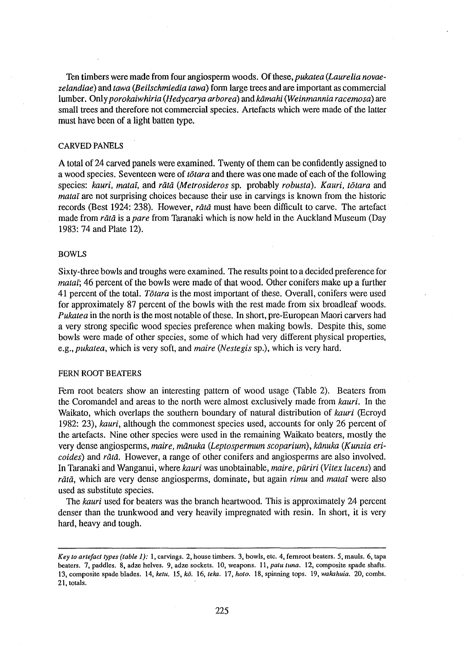Ten timbers were made from four angiosperm woods. Of these, *pukatea (Laurelia novaezelandiae)* and *tawa (Beilschmiedia tawa)* form large trees and are important as commercial lumber. Only *porokaiwhiria (Hedycarya arborea) andkamahi (Weinmannia racemosa)* are small trees and therefore not commercial species. Artefacts which were made of the latter must have been of a light batten type.

# CARVED PANELS

A total of 24 carved panels were examined. Twenty of them can be confidently assigned to a wood species. Seventeen were of *totara* and there was one made of each of the following species: *kauri, matai,* and *rata (Metrosideros* sp. probably *robusta). Kauri, totara* and *matal* are not surprising choices because their use in carvings is known from the historic records (Best 1924: 238). However, *rata* must have been difficult to carve. The artefact made from *rat a* is a *pare* from Taranaki which is now held in the Auckland Museum (Day 1983: 74 and Plate 12).

# BOWLS

Sixty-three bowls and troughs were examined. The results point to a decided preference for *matal;* 46 percent of the bowls were made of that wood. Other conifers make up a further 41 percent of the total. *Totara* is the most important of these. Overall, conifers were used for approximately 87 percent of the bowls with the rest made from six broadleaf woods. *Pukatea* in the north is the most notable of these. In short, pre-European Maori carvers had a very strong specific wood species preference when making bowls. Despite this, some bowls were made of other species, some of which had very different physical properties, *e.g.,pukatea,* which is very soft, and *maire (Nestegis* sp.), which is very hard.

# FERN ROOT BEATERS

Fem root beaters show an interesting pattern of wood usage (Table 2). Beaters from the Coromandel and areas to the north were almost exclusively made from *kauri.* In the Waikato, which overlaps the southern boundary of natural distribution of *kauri* (Ecroyd 1982: 23), *kauri,* although the commonest species used, accounts for only 26 percent of the artefacts. Nine other species were used in the remaining Waikato beaters, mostly the very dense angiosperms, *maire, manuka (Leptospermum scoparium), kanuka (Kunzia ericoides)* and *rata.* However, a range of other conifers and angiosperms are also involved. In Taranaki and Wanganui, where *kauri* was unobtainable, *maire, puriri (Vitex lucens)* and *rata*, which are very dense angiosperms, dominate, but again *rimu* and *matai* were also used as substitute species.

The *kauri* used for beaters was the branch heartwood. This is approximately 24 percent denser than the trunkwood and very heavily impregnated with resin. In short, it is very hard, heavy and tough.

*Key lo arlefacl types (table 1):* l, carvings. 2, house timbers. 3, bowls, etc. 4, fernroot beaters. 5, mauls. 6, tapa beaters. 7, paddles. 8, adze helves. 9, adze sockets. 10, weapons. 11, *palu lwia.* 12, composite spade shafts. 13, composite spade blades. 14, *kelu.* 15, ko. 16, *teka.* 17, *hoto.* 18, spinning tops. 19, *wakahuia.* 20, combs. 21, totals.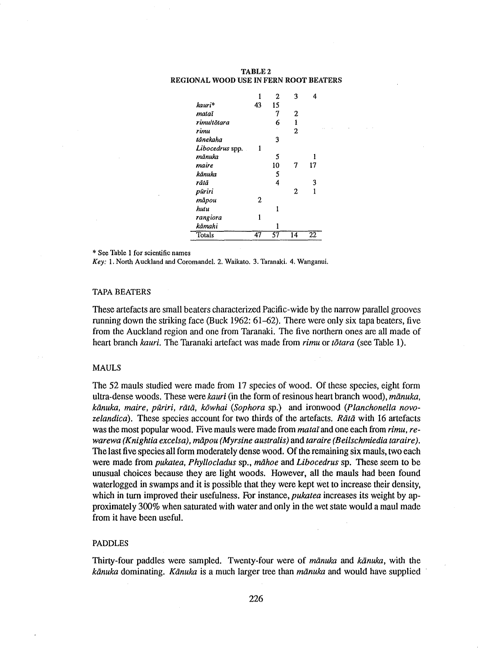#### TABLE2 REGIONAL WOOD USE IN FERN ROOT BEATERS

|                 | 1  | 2  | 3              | 4  |  |
|-----------------|----|----|----------------|----|--|
| kauri*          | 43 | 15 |                |    |  |
| mataï           |    | 7  | 2              |    |  |
| rimultõtara     |    | 6  | 1              |    |  |
| rimu            |    |    | $\overline{2}$ |    |  |
| tānekaha        |    | 3  |                |    |  |
| Libocedrus spp. | 1  |    |                |    |  |
| mānuka          |    | 5  |                |    |  |
| maire           |    | 10 | 7              | 17 |  |
| kānuka          |    | 5  |                |    |  |
| rātā            |    | 4  |                | 3  |  |
| pūriri          |    |    | 2              | 1  |  |
| māpou           | 2  |    |                |    |  |
| hutu            |    | 1  |                |    |  |
| rangiora        | 1  |    |                |    |  |
| kāmahi          |    |    |                |    |  |
| Totals          | 47 | 57 | 14             | 22 |  |

\* See Table l for scientific names

*Key:* l. North Auckland and Coromandel. 2. Waikato. 3. Taranaki. 4. Wanganui.

# TAPA BEATERS

These artefacts are small beaters characterized Pacific-wide by the narrow parallel grooves running down the striking face (Buck 1962: 61-62). There were only six tapa beaters, five from the Auckland region and one from Taranaki. The five northern ones are all made of heart branch *kauri.* The Taranaki artefact was made from *rimu* or *totara* (see Table 1).

#### MAULS

The 52 mauls studied were made from 17 species of wood. Of these species, eight form ultra-dense woods. These were *kauri* (in the form of resinous heart branch wood), *manuka, kanuka, maire, puriri, rata, kowhai (Sophora* sp.) and ironwood *(Planchonella novo*zelandica). These species account for two thirds of the artefacts. *Rata* with 16 artefacts was the most popular wood. Five mauls were made from *matai* and one each from *rimu, rewarewa (Knightia excelsa), mapou (Myrsine australis)* and *taraire (Beilschmiedia taraire).*  The last five species all form moderately dense wood. Of the remaining six mauls, two each were made from *pukatea, Phyllocladus* sp., *mahoe* and *Libocedrus* sp. These seem to be unusual choices because they are light woods. However, all the mauls had been found waterlogged in swamps and it is possible that they were kept wet to increase their density, which in turn improved their usefulness. For instance, *pukatea* increases its weight by approximately 300% when saturated with water and only in the wet state would a maul made from it have been useful.

#### PADDLES

Thirty-four paddles were sampled. Twenty-four were of *manuka* and *kanuka,* with the *kanuka* dominating. *Kanuka* is a much larger tree than *manuka* and would have supplied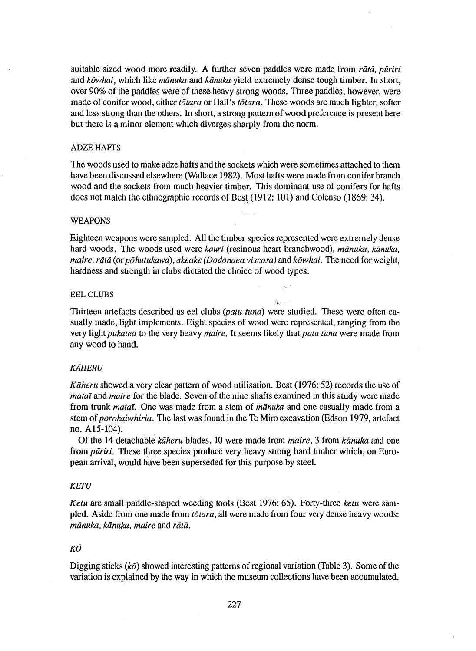suitable sized wood more readily. A further seven paddles were made from *rata, piiriri*  and *kowhai,* which like *manuka* and *kanuka* yield extremely dense tough timber. In short, over 90% of the paddles were of these heavy strong woods. Three paddles, however, were made of conifer wood, either *totara* or Hall's *totara.* These woods are much lighter, softer and less strong than the others. In short, a strong pattern of wood preference is present here but there is a minor element which diverges sharply from the norm.

# **ADZE HAFTS**

The woods used to make adze hafts and the sockets which were sometimes attached to them have been discussed elsewhere (Wallace 1982). Most hafts were made from conifer branch wood and the sockets from much heavier timber. This dominant use of conifers for hafts does not match the ethnographic records of Best (1912: 101) and Colenso (1869: 34).

## WEAPONS

Eighteen weapons were sampled. All the timber species represented were extremely dense hard woods. The woods used were *kauri* (resinous heart branchwood), *manuka, kanuka, maire, rata* (or *pohutukawa), akeake (Dodonaea viscosa)* and *kowhai.* The need for weight, hardness and strength in clubs dictated the choice of wood types.

# EEL CLUBS

Thirteen artefacts described as eel clubs *(patu tuna)* were studied. These were often casually made, light implements. Eight species of wood were represented, ranging from the very light *pukatea* to the very heavy *maire.* It seems likely that *patu tuna* were made from any wood to hand.

 $\mathfrak{h}_0,\ldots$ 

# *KAHERU*

*Kaheru* showed a very clear pattern of wood utilisation. Best (1976: 52) records the use of *matal* and *maire* for the blade. Seven of the nine shafts examined in this study were made from trunk *matai.* One was made from a stem of *manuka* and one casually made from a stem of *porokaiwhiria.* The last was found in the Te Miro excavation (Edson 1979, artefact no. A15-104).

Of the 14 detachable *kaheru* blades, 10 were made from *maire,* 3 from *kanuka* and one from *puriri.* These three species produce very heavy strong hard timber which, on European arrival, would have been superseded for this purpose by steel.

#### *KETU*

*Ketu* are small paddle-shaped weeding tools (Best 1976: 65). Forty-three *ketu* were sampled. Aside from one made from *totara,* all were made from four very dense heavy woods: *manuka, kanuka, maire* and *rata.* 

# *KO*

Digging sticks ( $k\bar{\sigma}$ ) showed interesting patterns of regional variation (Table 3). Some of the variation is explained by the way in which the museum collections have been accumulated.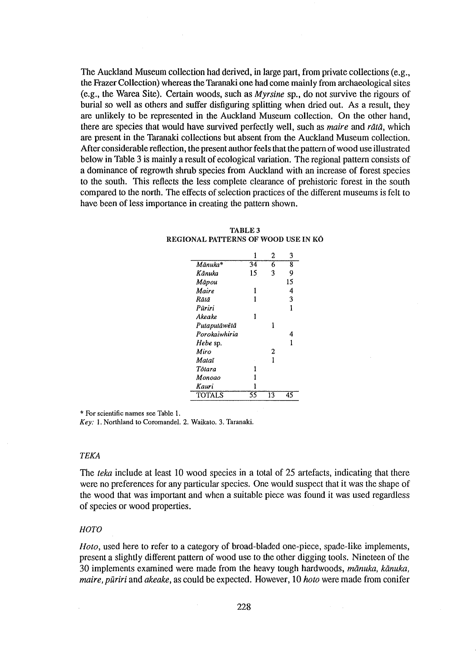The Auckland Museum collection had derived, in large part, from private collections (e.g., the Frazer Collection) whereas the Taranaki one had come mainly from archaeological sites (e.g., the Warea Site). Certain woods, such as *Myrsine* sp., do not survive the rigours of burial so well as others and suffer disfiguring splitting when dried out. As a result, they are unlikely to be represented in the Auckland Museum collection. On the other hand, there are species that would have survived perfectly well, such as *maire* and *rata,* which are present in the Taranaki collections but absent from the Auckland Museum collection. After considerable reflection, the present author feels that the pattern of wood use illustrated below in Table 3 is mainly a result of ecological variation. The regional pattern consists of a dominance of regrowth shrub species from Auckland with an increase of forest species to the south. This reflects the less complete clearance of prehistoric forest in the south compared to the north. The effects of selection practices of the different museums is felt to have been of less importance in creating the pattern shown.

|               | 1  | 2  | 3  |
|---------------|----|----|----|
| Mānuka*       | 34 | 6  | 8  |
| Känuka        | 15 | 3  | 9  |
| Māpou         |    |    | 15 |
| Maire         | 1  |    | 4  |
| Rātā          | 1  |    | 3  |
| Püriri        |    |    | 1  |
| Akeake        | 1  |    |    |
| Putaputāwētā  |    |    |    |
| Porokaiwhiria |    |    | 4  |
| Hebe sp.      |    |    | 1  |
| Miro          |    | 2  |    |
| Mataī         |    | 1  |    |
| Tõlara        |    |    |    |
| Monoao        |    |    |    |
| Kauri         |    |    |    |
| <b>TOTALS</b> | รร | 13 | 45 |

**TABLE3**  REGIONAL PATTERNS OF WOOD USE IN KÔ

\* For scientific names see Table I.

*Key:* I. Northland to Coromandel. 2. Waikato. 3. Taranaki.

## TEKA

The *teka* include at least 10 wood species in a total of 25 artefacts, indicating that there were no preferences for any particular species. One would suspect that it was the shape of the wood that was important and when a suitable piece was found it was used regardless of species or wood properties.

## *HOTO*

*Hoto,* used here to refer to a category of broad-bladed one-piece, spade-like implements, present a slightly different pattern of wood use to the other digging tools. Nineteen of the 30 implements examined were made from the heavy tough hardwoods,  $m\bar{a}nuk$ ,  $k\bar{a}nuk$ ,  $a$ *maire, puriri* and *akeake,* as could be expected. However, 10 *hoto* were made from conifer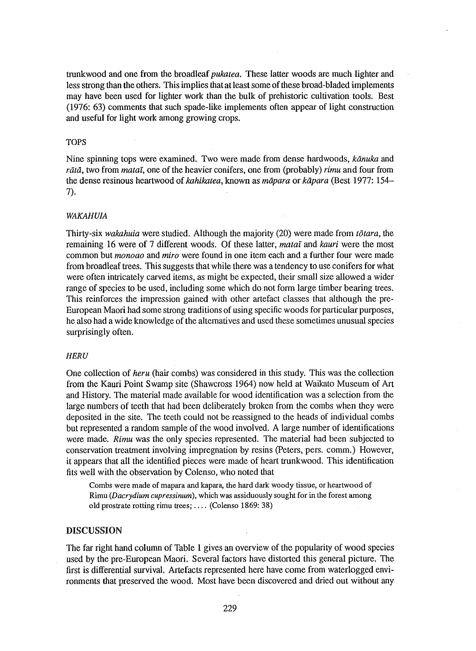trunkwood and one from the broadleaf *pukatea.* These latter woods are much lighter and less strong than the others. This implies that at least some of these broad-bladed implements may have been used for lighter work than the bulk of prehistoric cultivation tools. Best (1976: 63) comments that such spade-like implements often appear of light construction and useful for light work among growing crops.

# TOPS

Nine spinning tops were examined. Two were made from dense hardwoods, *kanuka* and *rata,* two from *matai,* one of the heavier conifers, one from (probably) *rimu* and four from the dense resinous heartwood of *kahikatea,* known as *mapara* or *kapara* (Best 1977: 154- 7).

# *WAKAHU/A*

Thirty-six *wakahuia* were studied. Although the majority (20) were made from *totara,* the remaining 16 were of 7 different woods. Of these latter, *matai* and *kauri* were the most common but *monoao* and *miro* were found in one item each and a further four were made from broadleaf trees. This suggests that while there was a tendency to use conifers for what were often intricately carved items, as might be expected, their small size allowed a wider range of species to be used, including some which do not form large timber bearing trees. This reinforces the impression gained with other artefact classes that although the pre-European Maori had some strong traditions of using specific woods for particular purposes, he also had a wide knowledge of the alternatives and used these sometimes unusual species surprisingly often.

# *HERU*

One collection of *heru* (hair combs) was considered in this study. This was the collection from the Kauri Point Swamp site (Shawcross 1964) now held at Waikato Museum of Art and History. The material made available for wood identification was a selection from the large numbers of teeth that had been deliberately broken from the combs when they were deposited in the site. The teeth could not be reassigned to the heads of individual combs but represented a random sample of the wood involved. A large number of identifications were made. *Rimu* was the only species represented. The material had been subjected to conservation treatment involving impregnation by resins (Peters, pers. comm.) However, it appears that all the identified pieces were made of heart trunkwood. This identification fits well with the observation by Colenso, who noted that

Combs were made of mapara and kapara, the hard dark woody tissue, or heartwood of Rimu *(Dacrydium cupressinum),* which was assiduously sought for in the forest among old prostrate rotting rimu trees; .... (Colenso 1869: 38)

# DISCUSSION

The far right hand column of Table 1 gives an overview of the popularity of wood species used by the pre-European Maori. Several factors have distorted this general picture. The first is differential survival. Artefacts represented here have come from waterlogged environments that preserved the wood. Most have been discovered and dried out without any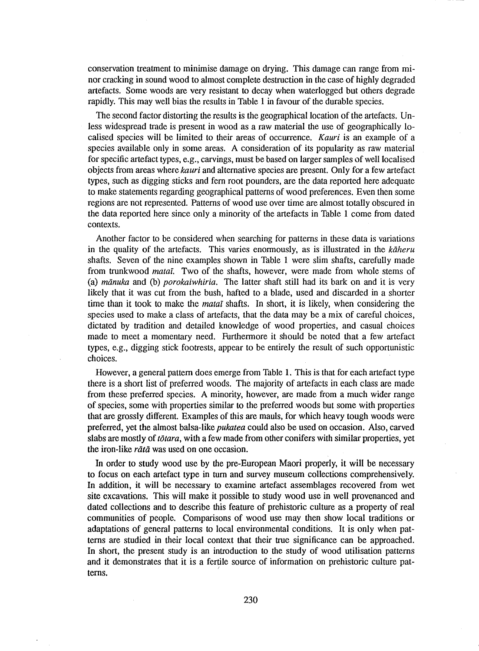conservation treatment to minimise damage on drying. This damage can range from minor cracking in sound wood to almost complete destruction in the case of highly degraded artefacts. Some woods are very resistant to decay when waterlogged but others degrade rapidly. This may well bias the results in Table 1 in favour of the durable species.

The second factor distorting the results is the geographical location of the artefacts. Unless widespread trade is present in wood as a raw material the use of geographically localised species will be limited to their areas of occurrence. *Kauri* is an example of a species available only in some areas. A consideration of its popularity as raw material for specific artefact types, e.g., carvings, must be based on larger samples of well localised objects from areas where *kauri* and alternative species are present. Only for a few artefact types, such as digging sticks and fem root pounders, are the data reported here adequate to make statements regarding geographical patterns of wood preferences. Even then some regions are not represented. Patterns of wood use over time are almost totally obscured in the data reported here since only a minority of the artefacts in Table 1 come from dated contexts.

Another factor to be considered when searching for patterns in these data is variations in the quality of the artefacts. This varies enormously, as is illustrated in the *kaheru* shafts. Seven of the nine examples shown in Table 1 were slim shafts, carefully made from trunkwood mataf. Two of the shafts, however, were made from whole stems of (a) *manuka* and (b) *porokaiwhiria.* The latter shaft still had its bark on and it is very likely that it was cut from the bush, hafted to a blade, used and discarded in a shorter time than it took to make the *matal* shafts. In short, it is likely, when considering the species used to make a class of artefacts, that the data may be a mix of careful choices, dictated by tradition and detailed knowledge of wood properties, and casual choices made to meet a momentary need. Furthermore it should be noted that a few artefact types, e.g., digging stick footrests, appear to be entirely the result of such opportunistic choices.

However, a general pattern does emerge from Table 1. This is that for each artefact type there is a short list of preferred woods. The majority of artefacts in each class are made from these preferred species. A minority, however, are made from a much wider range of species, some with properties similar to the preferred woods but some with properties that are grossly different. Examples of this are mauls, for which heavy tough woods were preferred, yet the almost balsa-like *pukatea* could also be used on occasion. Also, carved slabs are mostly of *totara,* with a few made from other conifers with similar properties, yet the iron-like *rātā* was used on one occasion.

In order to study wood use by the pre-European Maori properly, it will be necessary to focus on each artefact type in tum and survey museum collections comprehensively. In addition, it will be necessary to examine artefact assemblages recovered from wet site excavations. This will make it possible to study wood use in well provenanced and dated collections and to describe this feature of prehistoric culture as a property of real communities of people. Comparisons of wood use may then show local traditions or adaptations of general patterns to local environmental conditions. It is only when patterns are studied in their local context that their true significance can be approached. In short, the present study is an introduction to the study of wood utilisation patterns and it demonstrates that it is a fertile source of information on prehistoric culture patterns.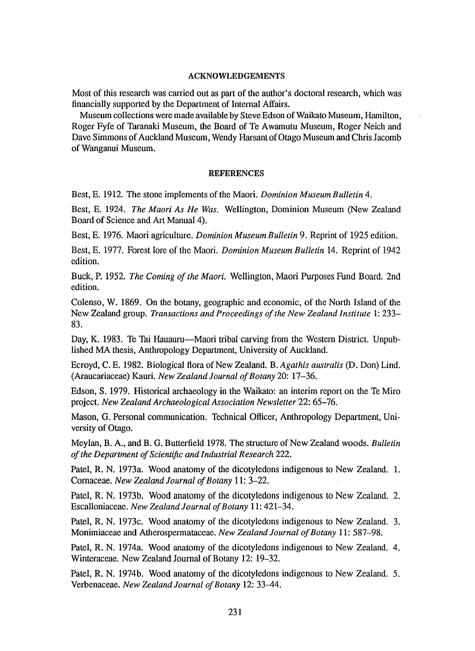## ACKNOWLEDGEMENTS

Most of this research was carried out as part of the author's doctoral research, which was financially supported by the Department of Internal Affairs.

Museum collections were made available by Steve Edson of Waikato Museum, Hamilton, Roger Fyfe of Taranaki Museum, the Board of Te Awamutu Museum, Roger Neich and Dave Simmons of Auckland Museum, Wendy Harsant of Otago Museum and Chris Jacomb of Wanganui Museum.

# **REFERENCES**

Best, E. 1912. The stone implements of the Maori. *Dominion Museum Bulletin* 4.

Best, E. 1924. *The Maori As He Was.* Wellington, Dominion Museum (New Zealand Board of Science and Art Manual 4).

Best, E. 1976. Maori agriculture. *Dominion Museum Bulletin* 9. Reprint of 1925 edition.

Best, E. 1977. Forest lore of the Maori. *Dominion Museum Bulletin* 14. Reprint of 1942 edition.

Buck, P. 1952. *The Coming of the Maori.* Wellington, Maori Purposes Fund Board. 2nd edition.

Colenso, W. 1869. On the botany, geographic and economic, of the North Island of the New Zealand group. *Transactions and Proceedings of the New Zealand Institute* 1: 233- 83.

Day, K. 1983. Te Tai Hauauru-Maori tribal carving from the Western District. Unpublished MA thesis, Anthropology Department, University of Auckland.

Ecroyd, C. E. 1982. Biological flora of New Zealand. B. *Agathis australis* (D. Don) Lind. (Araucariaceae) Kauri. *New Zealand Journal of Botany* 20: 17-36.

Edson, S. 1979. Historical archaeology in the Waikato: an interim report on the Te Miro project. *New Zealand Archaeological Association Newsletter* 22: 65-76.

Mason, G. Personal communication. Technical Officer, Anthropology Department, University of Otago.

Meylan, B. A., and B. G. Butterfield 1978. The structure of New Zealand woods. *Bulletin of the Department of Scientific and Industrial Research* 222.

Patel, R. N. 1973a. Wood anatomy of the dicotyledons indigenous to New Zealand. 1. Comaceae. *New Zealand Journal of Botany* 11: 3-22.

Patel, R. N. 1973b. Wood anatomy of the dicotyledons indigenous to New Zealand. 2. Escalloniaceae. *New Zealand Journal of Botany* 11: 421-34.

Patel, R. N. 1973c. Wood anatomy of the dicotyledons indigenous to New Zealand. 3. Monimiaceae and Atherospermataceae. *New Zealand Journal of Botany* 11: 587-98.

Patel, R. N. 1974a. Wood anatomy of the dicotyledons indigenous to New Zealand. 4. Winteraceae. New Zealand Journal of Botany 12: 19-32.

Patel, R. N. 1974b. Wood anatomy of the dicotyledons indigenous to New Zealand. 5. Verbenaceae. *New Zealand Journal of Botany* 12: 33--44.